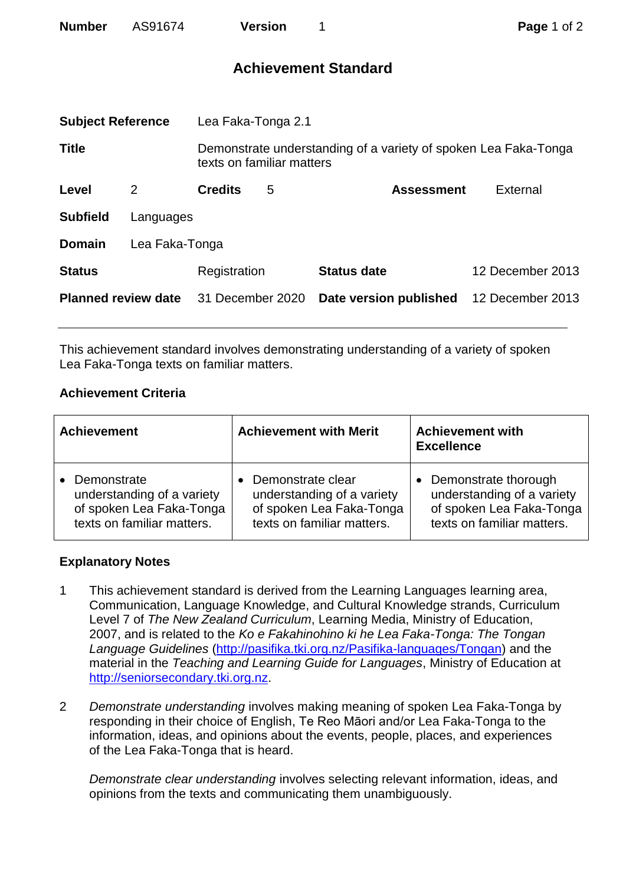| <b>Number</b>              | AS91674   |                                                                                              | <b>Version</b> |                             |  | Page 1 of 2      |  |
|----------------------------|-----------|----------------------------------------------------------------------------------------------|----------------|-----------------------------|--|------------------|--|
|                            |           |                                                                                              |                | <b>Achievement Standard</b> |  |                  |  |
| <b>Subject Reference</b>   |           | Lea Faka-Tonga 2.1                                                                           |                |                             |  |                  |  |
| <b>Title</b>               |           | Demonstrate understanding of a variety of spoken Lea Faka-Tonga<br>texts on familiar matters |                |                             |  |                  |  |
| Level                      | 2         | <b>Credits</b>                                                                               | 5              | <b>Assessment</b>           |  | External         |  |
| <b>Subfield</b>            | Languages |                                                                                              |                |                             |  |                  |  |
| <b>Domain</b>              |           | Lea Faka-Tonga                                                                               |                |                             |  |                  |  |
| <b>Status</b>              |           | Registration                                                                                 |                | <b>Status date</b>          |  | 12 December 2013 |  |
| <b>Planned review date</b> |           | 31 December 2020                                                                             |                | Date version published      |  | 12 December 2013 |  |

This achievement standard involves demonstrating understanding of a variety of spoken Lea Faka-Tonga texts on familiar matters.

## **Achievement Criteria**

| <b>Achievement</b>         | <b>Achievement with Merit</b> | <b>Achievement with</b><br><b>Excellence</b> |
|----------------------------|-------------------------------|----------------------------------------------|
| Demonstrate                | Demonstrate clear             | • Demonstrate thorough                       |
| understanding of a variety | understanding of a variety    | understanding of a variety                   |
| of spoken Lea Faka-Tonga   | of spoken Lea Faka-Tonga      | of spoken Lea Faka-Tonga                     |
| texts on familiar matters. | texts on familiar matters.    | texts on familiar matters.                   |

## **Explanatory Notes**

- 1 This achievement standard is derived from the Learning Languages learning area, Communication, Language Knowledge, and Cultural Knowledge strands, Curriculum Level 7 of *The New Zealand Curriculum*, Learning Media, Ministry of Education, 2007, and is related to the *Ko e Fakahinohino ki he Lea Faka-Tonga: The Tongan Language Guidelines* [\(http://pasifika.tki.org.nz/Pasifika-languages/Tongan\)](http://pasifika.tki.org.nz/Pasifika-languages/Tongan) and the material in the *Teaching and Learning Guide for Languages*, Ministry of Education at [http://seniorsecondary.tki.org.nz.](http://seniorsecondary.tki.org.nz/)
- 2 *Demonstrate understanding* involves making meaning of spoken Lea Faka-Tonga by responding in their choice of English, Te Reo Māori and/or Lea Faka-Tonga to the information, ideas, and opinions about the events, people, places, and experiences of the Lea Faka-Tonga that is heard.

*Demonstrate clear understanding* involves selecting relevant information, ideas, and opinions from the texts and communicating them unambiguously.